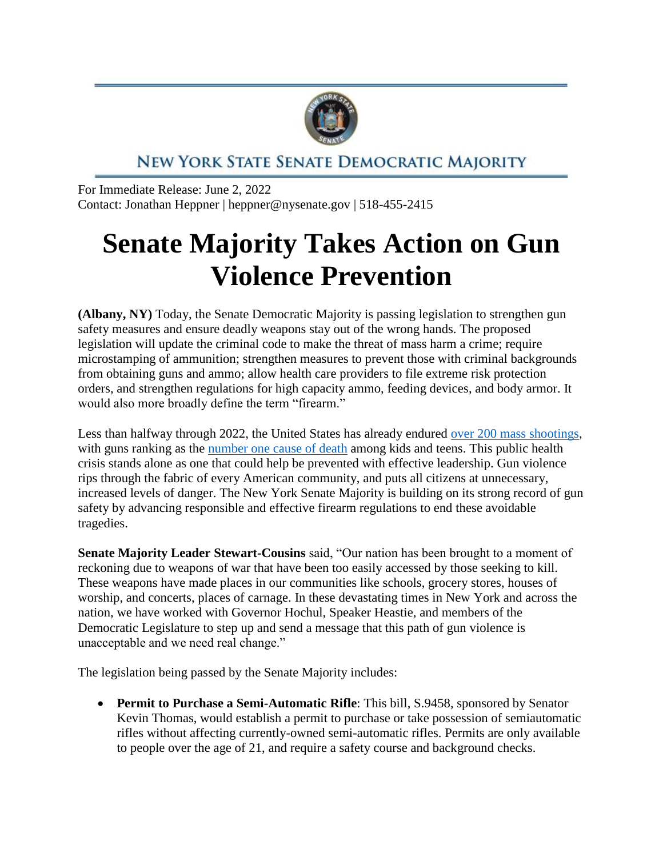

## NEW YORK STATE SENATE DEMOCRATIC MAJORITY

For Immediate Release: June 2, 2022 Contact: Jonathan Heppner | heppner@nysenate.gov | 518-455-2415

## **Senate Majority Takes Action on Gun Violence Prevention**

**(Albany, NY)** Today, the Senate Democratic Majority is passing legislation to strengthen gun safety measures and ensure deadly weapons stay out of the wrong hands. The proposed legislation will update the criminal code to make the threat of mass harm a crime; require microstamping of ammunition; strengthen measures to prevent those with criminal backgrounds from obtaining guns and ammo; allow health care providers to file extreme risk protection orders, and strengthen regulations for high capacity ammo, feeding devices, and body armor. It would also more broadly define the term "firearm."

Less than halfway through 2022, the United States has already endured [over 200 mass shootings,](https://www.gunviolencearchive.org/) with guns ranking as the [number one cause of death](https://www.nejm.org/doi/full/10.1056/NEJMc2201761) among kids and teens. This public health crisis stands alone as one that could help be prevented with effective leadership. Gun violence rips through the fabric of every American community, and puts all citizens at unnecessary, increased levels of danger. The New York Senate Majority is building on its strong record of gun safety by advancing responsible and effective firearm regulations to end these avoidable tragedies.

**Senate Majority Leader Stewart-Cousins** said, "Our nation has been brought to a moment of reckoning due to weapons of war that have been too easily accessed by those seeking to kill. These weapons have made places in our communities like schools, grocery stores, houses of worship, and concerts, places of carnage. In these devastating times in New York and across the nation, we have worked with Governor Hochul, Speaker Heastie, and members of the Democratic Legislature to step up and send a message that this path of gun violence is unacceptable and we need real change."

The legislation being passed by the Senate Majority includes:

**Permit to Purchase a Semi-Automatic Rifle**: This bill, S.9458, sponsored by Senator Kevin Thomas, would establish a permit to purchase or take possession of semiautomatic rifles without affecting currently-owned semi-automatic rifles. Permits are only available to people over the age of 21, and require a safety course and background checks.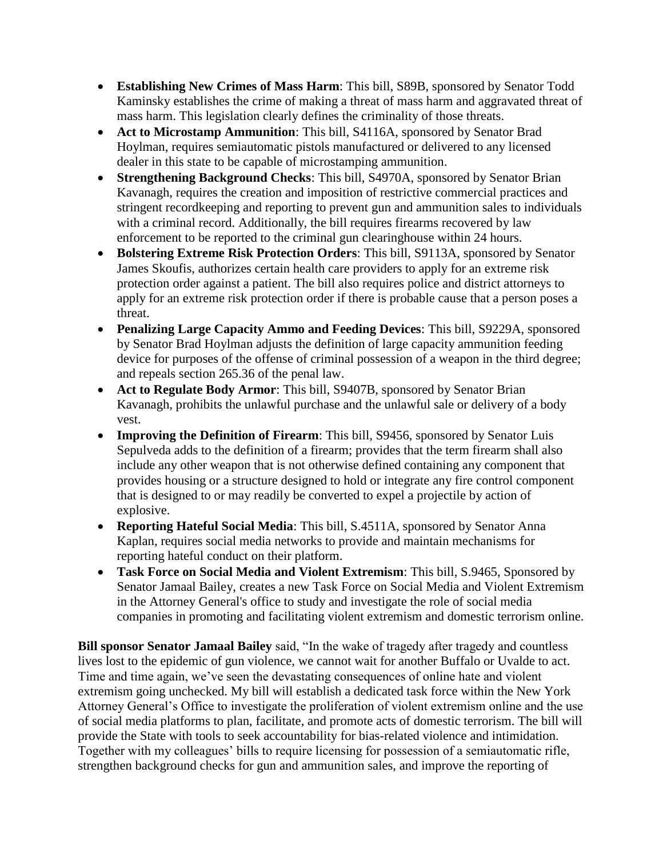- **Establishing New Crimes of Mass Harm**: This bill, S89B, sponsored by Senator Todd Kaminsky establishes the crime of making a threat of mass harm and aggravated threat of mass harm. This legislation clearly defines the criminality of those threats.
- **Act to Microstamp Ammunition**: This bill, S4116A, sponsored by Senator Brad Hoylman, requires semiautomatic pistols manufactured or delivered to any licensed dealer in this state to be capable of microstamping ammunition.
- **Strengthening Background Checks**: This bill, S4970A, sponsored by Senator Brian Kavanagh, requires the creation and imposition of restrictive commercial practices and stringent recordkeeping and reporting to prevent gun and ammunition sales to individuals with a criminal record. Additionally, the bill requires firearms recovered by law enforcement to be reported to the criminal gun clearinghouse within 24 hours.
- **Bolstering Extreme Risk Protection Orders**: This bill, S9113A, sponsored by Senator James Skoufis, authorizes certain health care providers to apply for an extreme risk protection order against a patient. The bill also requires police and district attorneys to apply for an extreme risk protection order if there is probable cause that a person poses a threat.
- **Penalizing Large Capacity Ammo and Feeding Devices**: This bill, S9229A, sponsored by Senator Brad Hoylman adjusts the definition of large capacity ammunition feeding device for purposes of the offense of criminal possession of a weapon in the third degree; and repeals section 265.36 of the penal law.
- **Act to Regulate Body Armor**: This bill, S9407B, sponsored by Senator Brian Kavanagh, prohibits the unlawful purchase and the unlawful sale or delivery of a body vest.
- **Improving the Definition of Firearm**: This bill, S9456, sponsored by Senator Luis Sepulveda adds to the definition of a firearm; provides that the term firearm shall also include any other weapon that is not otherwise defined containing any component that provides housing or a structure designed to hold or integrate any fire control component that is designed to or may readily be converted to expel a projectile by action of explosive.
- **Reporting Hateful Social Media**: This bill, S.4511A, sponsored by Senator Anna Kaplan, requires social media networks to provide and maintain mechanisms for reporting hateful conduct on their platform.
- **Task Force on Social Media and Violent Extremism**: This bill, S.9465, Sponsored by Senator Jamaal Bailey, creates a new Task Force on Social Media and Violent Extremism in the Attorney General's office to study and investigate the role of social media companies in promoting and facilitating violent extremism and domestic terrorism online.

**Bill sponsor Senator Jamaal Bailey** said, "In the wake of tragedy after tragedy and countless lives lost to the epidemic of gun violence, we cannot wait for another Buffalo or Uvalde to act. Time and time again, we've seen the devastating consequences of online hate and violent extremism going unchecked. My bill will establish a dedicated task force within the New York Attorney General's Office to investigate the proliferation of violent extremism online and the use of social media platforms to plan, facilitate, and promote acts of domestic terrorism. The bill will provide the State with tools to seek accountability for bias-related violence and intimidation. Together with my colleagues' bills to require licensing for possession of a semiautomatic rifle, strengthen background checks for gun and ammunition sales, and improve the reporting of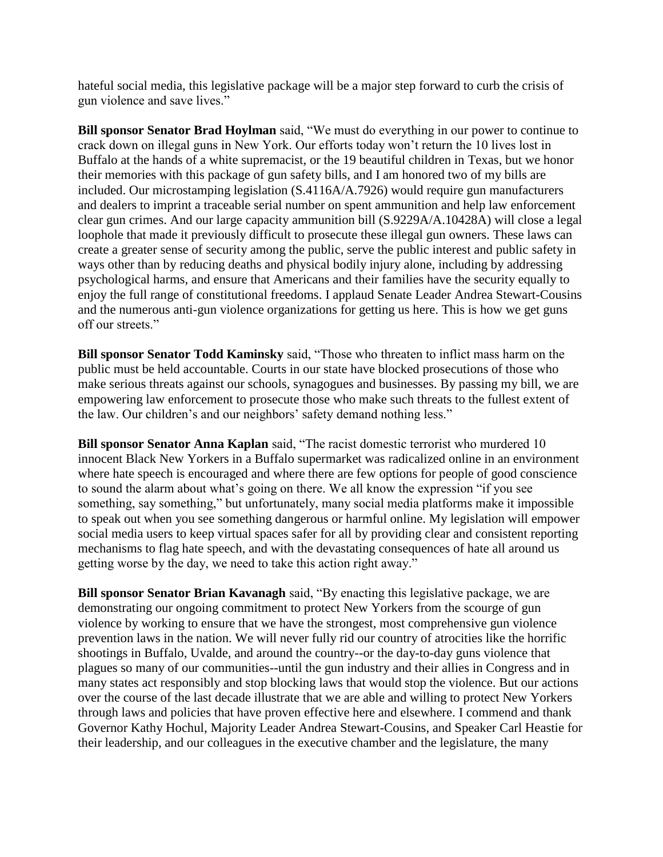hateful social media, this legislative package will be a major step forward to curb the crisis of gun violence and save lives."

**Bill sponsor Senator Brad Hoylman** said, "We must do everything in our power to continue to crack down on illegal guns in New York. Our efforts today won't return the 10 lives lost in Buffalo at the hands of a white supremacist, or the 19 beautiful children in Texas, but we honor their memories with this package of gun safety bills, and I am honored two of my bills are included. Our microstamping legislation (S.4116A/A.7926) would require gun manufacturers and dealers to imprint a traceable serial number on spent ammunition and help law enforcement clear gun crimes. And our large capacity ammunition bill (S.9229A/A.10428A) will close a legal loophole that made it previously difficult to prosecute these illegal gun owners. These laws can create a greater sense of security among the public, serve the public interest and public safety in ways other than by reducing deaths and physical bodily injury alone, including by addressing psychological harms, and ensure that Americans and their families have the security equally to enjoy the full range of constitutional freedoms. I applaud Senate Leader Andrea Stewart-Cousins and the numerous anti-gun violence organizations for getting us here. This is how we get guns off our streets."

**Bill sponsor Senator Todd Kaminsky** said, "Those who threaten to inflict mass harm on the public must be held accountable. Courts in our state have blocked prosecutions of those who make serious threats against our schools, synagogues and businesses. By passing my bill, we are empowering law enforcement to prosecute those who make such threats to the fullest extent of the law. Our children's and our neighbors' safety demand nothing less."

**Bill sponsor Senator Anna Kaplan** said, "The racist domestic terrorist who murdered 10 innocent Black New Yorkers in a Buffalo supermarket was radicalized online in an environment where hate speech is encouraged and where there are few options for people of good conscience to sound the alarm about what's going on there. We all know the expression "if you see something, say something," but unfortunately, many social media platforms make it impossible to speak out when you see something dangerous or harmful online. My legislation will empower social media users to keep virtual spaces safer for all by providing clear and consistent reporting mechanisms to flag hate speech, and with the devastating consequences of hate all around us getting worse by the day, we need to take this action right away."

**Bill sponsor Senator Brian Kavanagh** said, "By enacting this legislative package, we are demonstrating our ongoing commitment to protect New Yorkers from the scourge of gun violence by working to ensure that we have the strongest, most comprehensive gun violence prevention laws in the nation. We will never fully rid our country of atrocities like the horrific shootings in Buffalo, Uvalde, and around the country--or the day-to-day guns violence that plagues so many of our communities--until the gun industry and their allies in Congress and in many states act responsibly and stop blocking laws that would stop the violence. But our actions over the course of the last decade illustrate that we are able and willing to protect New Yorkers through laws and policies that have proven effective here and elsewhere. I commend and thank Governor Kathy Hochul, Majority Leader Andrea Stewart-Cousins, and Speaker Carl Heastie for their leadership, and our colleagues in the executive chamber and the legislature, the many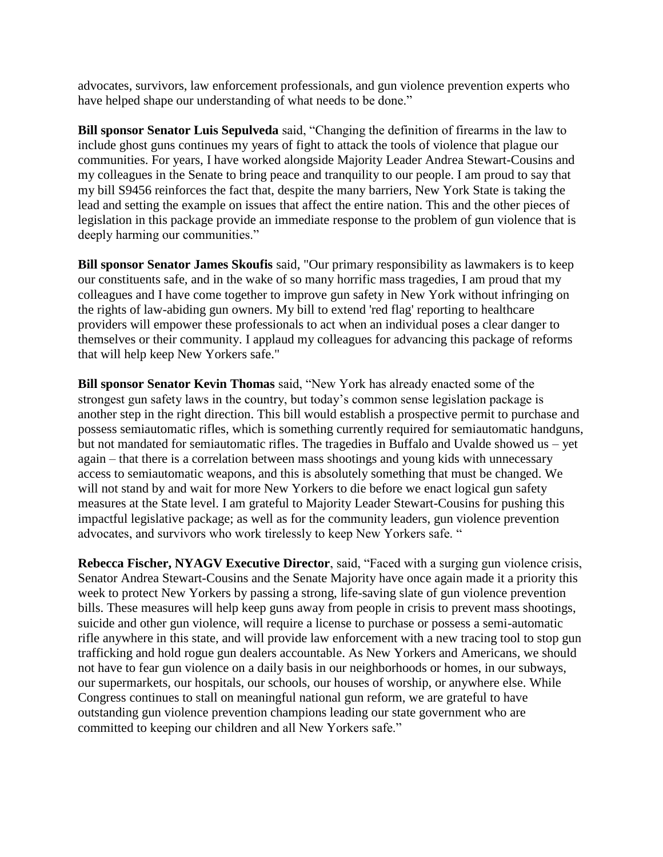advocates, survivors, law enforcement professionals, and gun violence prevention experts who have helped shape our understanding of what needs to be done."

**Bill sponsor Senator Luis Sepulveda** said, "Changing the definition of firearms in the law to include ghost guns continues my years of fight to attack the tools of violence that plague our communities. For years, I have worked alongside Majority Leader Andrea Stewart-Cousins and my colleagues in the Senate to bring peace and tranquility to our people. I am proud to say that my bill S9456 reinforces the fact that, despite the many barriers, New York State is taking the lead and setting the example on issues that affect the entire nation. This and the other pieces of legislation in this package provide an immediate response to the problem of gun violence that is deeply harming our communities."

**Bill sponsor Senator James Skoufis** said, "Our primary responsibility as lawmakers is to keep our constituents safe, and in the wake of so many horrific mass tragedies, I am proud that my colleagues and I have come together to improve gun safety in New York without infringing on the rights of law-abiding gun owners. My bill to extend 'red flag' reporting to healthcare providers will empower these professionals to act when an individual poses a clear danger to themselves or their community. I applaud my colleagues for advancing this package of reforms that will help keep New Yorkers safe."

**Bill sponsor Senator Kevin Thomas** said, "New York has already enacted some of the strongest gun safety laws in the country, but today's common sense legislation package is another step in the right direction. This bill would establish a prospective permit to purchase and possess semiautomatic rifles, which is something currently required for semiautomatic handguns, but not mandated for semiautomatic rifles. The tragedies in Buffalo and Uvalde showed us – yet again – that there is a correlation between mass shootings and young kids with unnecessary access to semiautomatic weapons, and this is absolutely something that must be changed. We will not stand by and wait for more New Yorkers to die before we enact logical gun safety measures at the State level. I am grateful to Majority Leader Stewart-Cousins for pushing this impactful legislative package; as well as for the community leaders, gun violence prevention advocates, and survivors who work tirelessly to keep New Yorkers safe. "

**Rebecca Fischer, NYAGV Executive Director**, said, "Faced with a surging gun violence crisis, Senator Andrea Stewart-Cousins and the Senate Majority have once again made it a priority this week to protect New Yorkers by passing a strong, life-saving slate of gun violence prevention bills. These measures will help keep guns away from people in crisis to prevent mass shootings, suicide and other gun violence, will require a license to purchase or possess a semi-automatic rifle anywhere in this state, and will provide law enforcement with a new tracing tool to stop gun trafficking and hold rogue gun dealers accountable. As New Yorkers and Americans, we should not have to fear gun violence on a daily basis in our neighborhoods or homes, in our subways, our supermarkets, our hospitals, our schools, our houses of worship, or anywhere else. While Congress continues to stall on meaningful national gun reform, we are grateful to have outstanding gun violence prevention champions leading our state government who are committed to keeping our children and all New Yorkers safe."